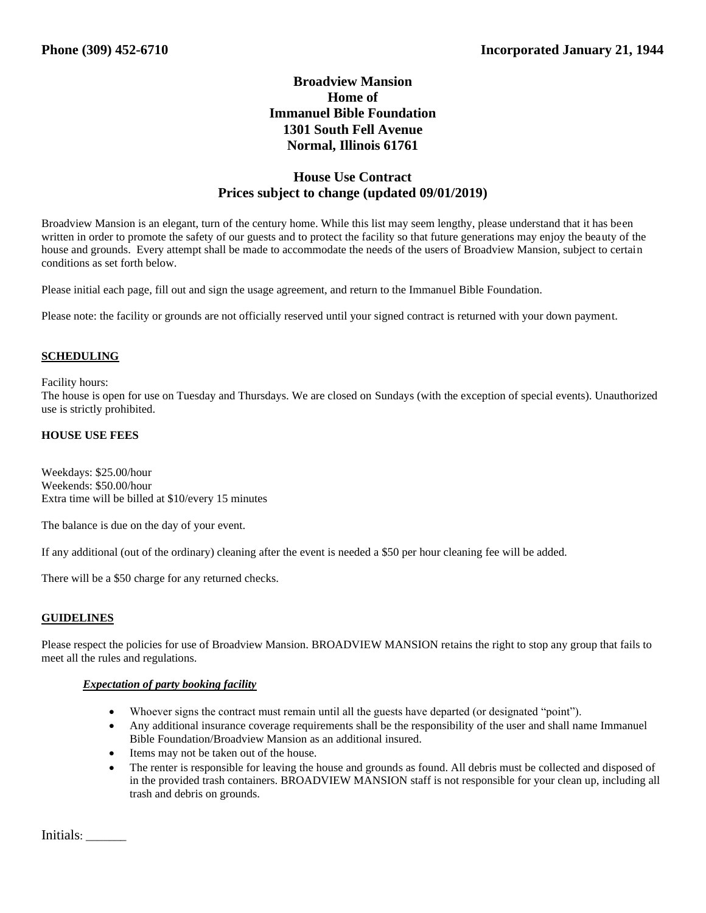# **Broadview Mansion Home of Immanuel Bible Foundation 1301 South Fell Avenue Normal, Illinois 61761**

# **House Use Contract Prices subject to change (updated 09/01/2019)**

Broadview Mansion is an elegant, turn of the century home. While this list may seem lengthy, please understand that it has been written in order to promote the safety of our guests and to protect the facility so that future generations may enjoy the beauty of the house and grounds. Every attempt shall be made to accommodate the needs of the users of Broadview Mansion, subject to certain conditions as set forth below.

Please initial each page, fill out and sign the usage agreement, and return to the Immanuel Bible Foundation.

Please note: the facility or grounds are not officially reserved until your signed contract is returned with your down payment.

### **SCHEDULING**

#### Facility hours:

The house is open for use on Tuesday and Thursdays. We are closed on Sundays (with the exception of special events). Unauthorized use is strictly prohibited.

#### **HOUSE USE FEES**

Weekdays: \$25.00/hour Weekends: \$50.00/hour Extra time will be billed at \$10/every 15 minutes

The balance is due on the day of your event.

If any additional (out of the ordinary) cleaning after the event is needed a \$50 per hour cleaning fee will be added.

There will be a \$50 charge for any returned checks.

#### **GUIDELINES**

Please respect the policies for use of Broadview Mansion. BROADVIEW MANSION retains the right to stop any group that fails to meet all the rules and regulations.

#### *Expectation of party booking facility*

- Whoever signs the contract must remain until all the guests have departed (or designated "point").
- Any additional insurance coverage requirements shall be the responsibility of the user and shall name Immanuel Bible Foundation/Broadview Mansion as an additional insured.
- Items may not be taken out of the house.
- The renter is responsible for leaving the house and grounds as found. All debris must be collected and disposed of in the provided trash containers. BROADVIEW MANSION staff is not responsible for your clean up, including all trash and debris on grounds.

Initials: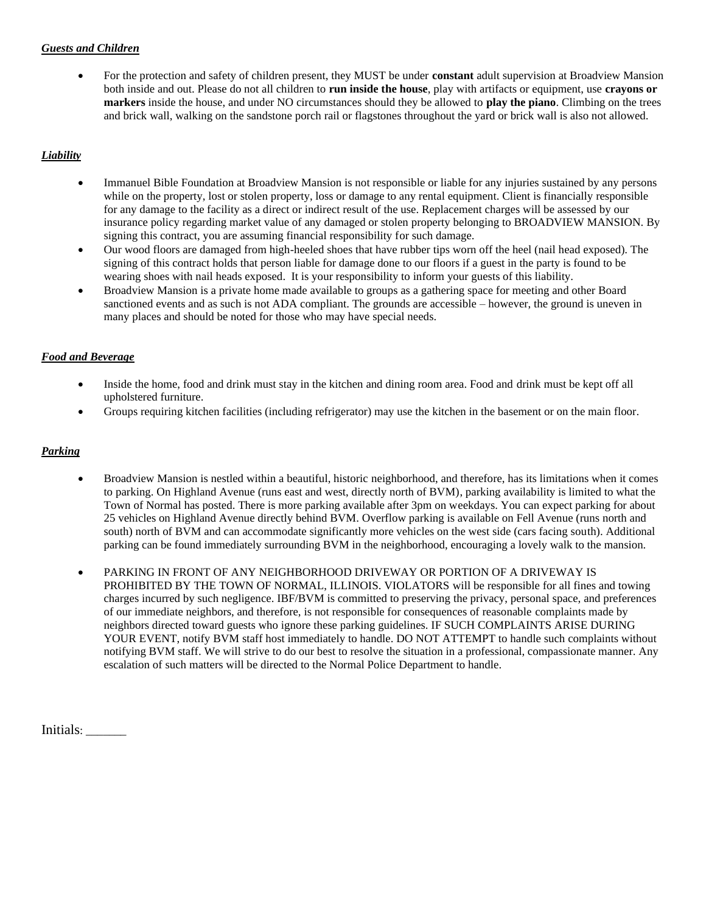## *Guests and Children*

• For the protection and safety of children present, they MUST be under **constant** adult supervision at Broadview Mansion both inside and out. Please do not all children to **run inside the house**, play with artifacts or equipment, use **crayons or markers** inside the house, and under NO circumstances should they be allowed to **play the piano**. Climbing on the trees and brick wall, walking on the sandstone porch rail or flagstones throughout the yard or brick wall is also not allowed.

# *Liability*

- Immanuel Bible Foundation at Broadview Mansion is not responsible or liable for any injuries sustained by any persons while on the property, lost or stolen property, loss or damage to any rental equipment. Client is financially responsible for any damage to the facility as a direct or indirect result of the use. Replacement charges will be assessed by our insurance policy regarding market value of any damaged or stolen property belonging to BROADVIEW MANSION. By signing this contract, you are assuming financial responsibility for such damage.
- Our wood floors are damaged from high-heeled shoes that have rubber tips worn off the heel (nail head exposed). The signing of this contract holds that person liable for damage done to our floors if a guest in the party is found to be wearing shoes with nail heads exposed. It is your responsibility to inform your guests of this liability.
- Broadview Mansion is a private home made available to groups as a gathering space for meeting and other Board sanctioned events and as such is not ADA compliant. The grounds are accessible – however, the ground is uneven in many places and should be noted for those who may have special needs.

### *Food and Beverage*

- Inside the home, food and drink must stay in the kitchen and dining room area. Food and drink must be kept off all upholstered furniture.
- Groups requiring kitchen facilities (including refrigerator) may use the kitchen in the basement or on the main floor.

## *Parking*

- Broadview Mansion is nestled within a beautiful, historic neighborhood, and therefore, has its limitations when it comes to parking. On Highland Avenue (runs east and west, directly north of BVM), parking availability is limited to what the Town of Normal has posted. There is more parking available after 3pm on weekdays. You can expect parking for about 25 vehicles on Highland Avenue directly behind BVM. Overflow parking is available on Fell Avenue (runs north and south) north of BVM and can accommodate significantly more vehicles on the west side (cars facing south). Additional parking can be found immediately surrounding BVM in the neighborhood, encouraging a lovely walk to the mansion.
- PARKING IN FRONT OF ANY NEIGHBORHOOD DRIVEWAY OR PORTION OF A DRIVEWAY IS PROHIBITED BY THE TOWN OF NORMAL, ILLINOIS. VIOLATORS will be responsible for all fines and towing charges incurred by such negligence. IBF/BVM is committed to preserving the privacy, personal space, and preferences of our immediate neighbors, and therefore, is not responsible for consequences of reasonable complaints made by neighbors directed toward guests who ignore these parking guidelines. IF SUCH COMPLAINTS ARISE DURING YOUR EVENT, notify BVM staff host immediately to handle. DO NOT ATTEMPT to handle such complaints without notifying BVM staff. We will strive to do our best to resolve the situation in a professional, compassionate manner. Any escalation of such matters will be directed to the Normal Police Department to handle.

Initials: